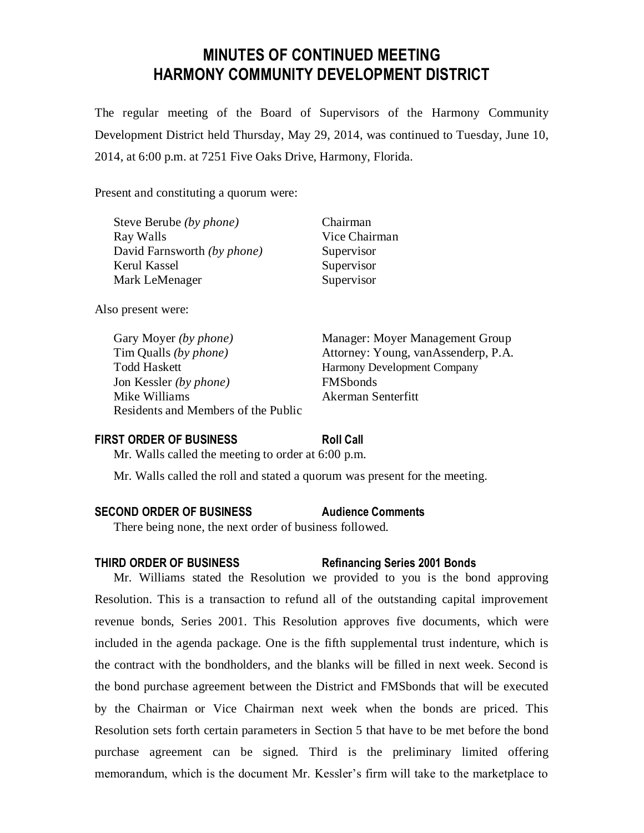# **MINUTES OF CONTINUED MEETING HARMONY COMMUNITY DEVELOPMENT DISTRICT**

The regular meeting of the Board of Supervisors of the Harmony Community Development District held Thursday, May 29, 2014, was continued to Tuesday, June 10, 2014, at 6:00 p.m. at 7251 Five Oaks Drive, Harmony, Florida.

> Chairman Vice Chairman Supervisor Supervisor Supervisor

Present and constituting a quorum were:

| Steve Berube <i>(by phone)</i>     |  |
|------------------------------------|--|
| Ray Walls                          |  |
| David Farnsworth <i>(by phone)</i> |  |
| Kerul Kassel                       |  |
| Mark LeMenager                     |  |

Also present were:

Todd Haskett Harmony Development Company Jon Kessler *(by phone)* FMSbonds Mike Williams **Akerman** Senterfitt Residents and Members of the Public

Gary Moyer *(by phone)* Manager: Moyer Management Group Tim Qualls *(by phone)* Attorney: Young, vanAssenderp, P.A.

#### **FIRST ORDER OF BUSINESS Roll Call**

Mr. Walls called the meeting to order at 6:00 p.m.

Mr. Walls called the roll and stated a quorum was present for the meeting.

#### **SECOND ORDER OF BUSINESS Audience Comments**

There being none, the next order of business followed.

**THIRD ORDER OF BUSINESS Refinancing Series 2001 Bonds**

Mr. Williams stated the Resolution we provided to you is the bond approving Resolution. This is a transaction to refund all of the outstanding capital improvement revenue bonds, Series 2001. This Resolution approves five documents, which were included in the agenda package. One is the fifth supplemental trust indenture, which is the contract with the bondholders, and the blanks will be filled in next week. Second is the bond purchase agreement between the District and FMSbonds that will be executed by the Chairman or Vice Chairman next week when the bonds are priced. This Resolution sets forth certain parameters in Section 5 that have to be met before the bond purchase agreement can be signed. Third is the preliminary limited offering memorandum, which is the document Mr. Kessler's firm will take to the marketplace to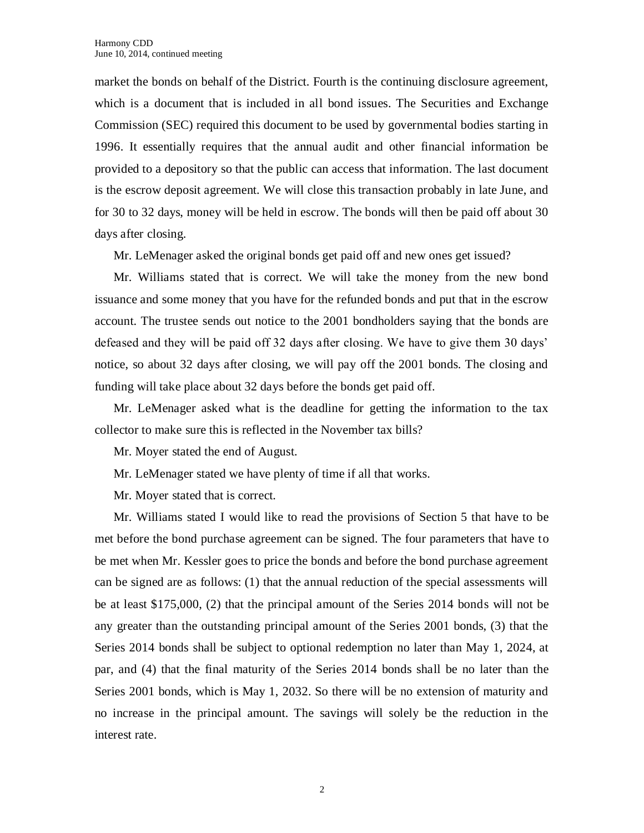market the bonds on behalf of the District. Fourth is the continuing disclosure agreement, which is a document that is included in all bond issues. The Securities and Exchange Commission (SEC) required this document to be used by governmental bodies starting in 1996. It essentially requires that the annual audit and other financial information be provided to a depository so that the public can access that information. The last document is the escrow deposit agreement. We will close this transaction probably in late June, and for 30 to 32 days, money will be held in escrow. The bonds will then be paid off about 30 days after closing.

Mr. LeMenager asked the original bonds get paid off and new ones get issued?

Mr. Williams stated that is correct. We will take the money from the new bond issuance and some money that you have for the refunded bonds and put that in the escrow account. The trustee sends out notice to the 2001 bondholders saying that the bonds are defeased and they will be paid off 32 days after closing. We have to give them 30 days' notice, so about 32 days after closing, we will pay off the 2001 bonds. The closing and funding will take place about 32 days before the bonds get paid off.

Mr. LeMenager asked what is the deadline for getting the information to the tax collector to make sure this is reflected in the November tax bills?

Mr. Moyer stated the end of August.

Mr. LeMenager stated we have plenty of time if all that works.

Mr. Moyer stated that is correct.

Mr. Williams stated I would like to read the provisions of Section 5 that have to be met before the bond purchase agreement can be signed. The four parameters that have to be met when Mr. Kessler goes to price the bonds and before the bond purchase agreement can be signed are as follows: (1) that the annual reduction of the special assessments will be at least \$175,000, (2) that the principal amount of the Series 2014 bonds will not be any greater than the outstanding principal amount of the Series 2001 bonds, (3) that the Series 2014 bonds shall be subject to optional redemption no later than May 1, 2024, at par, and (4) that the final maturity of the Series 2014 bonds shall be no later than the Series 2001 bonds, which is May 1, 2032. So there will be no extension of maturity and no increase in the principal amount. The savings will solely be the reduction in the interest rate.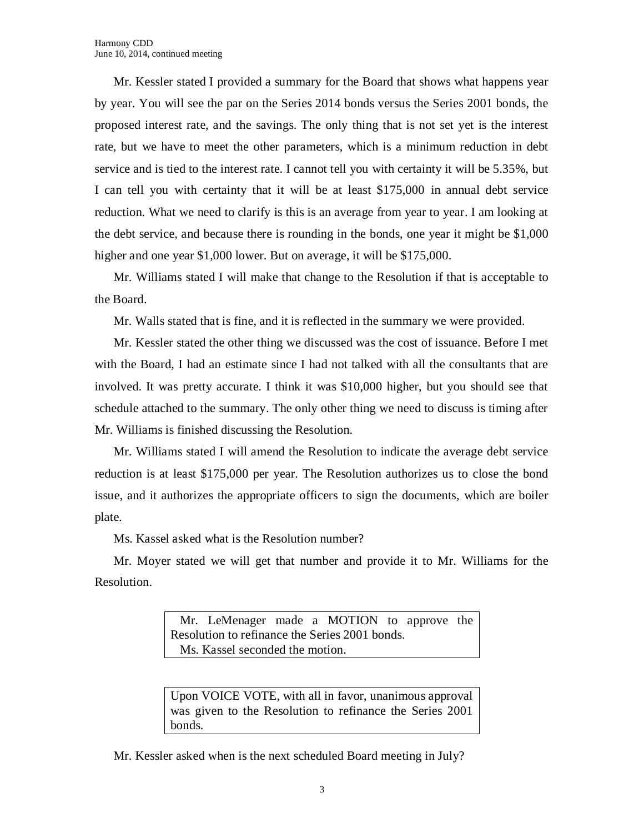Mr. Kessler stated I provided a summary for the Board that shows what happens year by year. You will see the par on the Series 2014 bonds versus the Series 2001 bonds, the proposed interest rate, and the savings. The only thing that is not set yet is the interest rate, but we have to meet the other parameters, which is a minimum reduction in debt service and is tied to the interest rate. I cannot tell you with certainty it will be 5.35%, but I can tell you with certainty that it will be at least \$175,000 in annual debt service reduction. What we need to clarify is this is an average from year to year. I am looking at the debt service, and because there is rounding in the bonds, one year it might be \$1,000 higher and one year \$1,000 lower. But on average, it will be \$175,000.

Mr. Williams stated I will make that change to the Resolution if that is acceptable to the Board.

Mr. Walls stated that is fine, and it is reflected in the summary we were provided.

Mr. Kessler stated the other thing we discussed was the cost of issuance. Before I met with the Board, I had an estimate since I had not talked with all the consultants that are involved. It was pretty accurate. I think it was \$10,000 higher, but you should see that schedule attached to the summary. The only other thing we need to discuss is timing after Mr. Williams is finished discussing the Resolution.

Mr. Williams stated I will amend the Resolution to indicate the average debt service reduction is at least \$175,000 per year. The Resolution authorizes us to close the bond issue, and it authorizes the appropriate officers to sign the documents, which are boiler plate.

Ms. Kassel asked what is the Resolution number?

Mr. Moyer stated we will get that number and provide it to Mr. Williams for the Resolution.

> Mr. LeMenager made a MOTION to approve the Resolution to refinance the Series 2001 bonds. Ms. Kassel seconded the motion.

> Upon VOICE VOTE, with all in favor, unanimous approval was given to the Resolution to refinance the Series 2001 bonds.

Mr. Kessler asked when is the next scheduled Board meeting in July?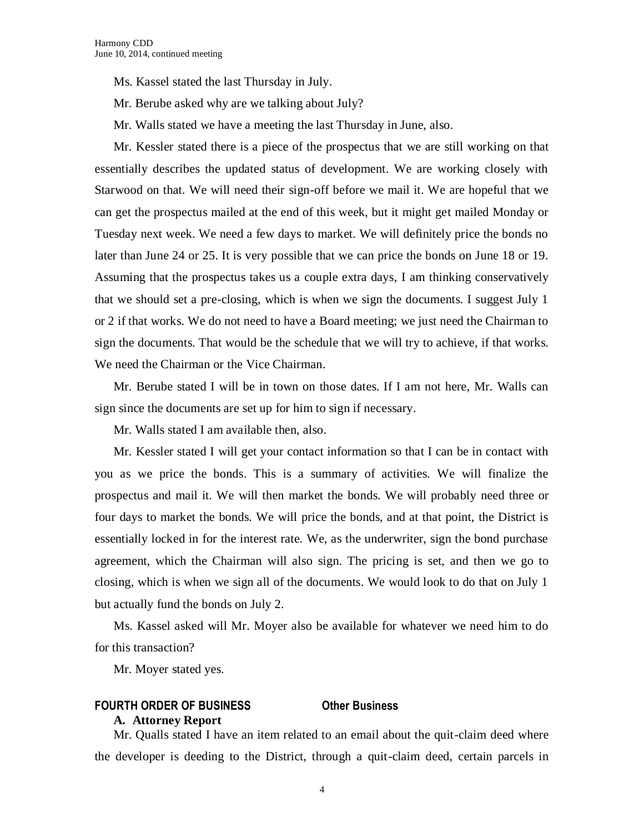Ms. Kassel stated the last Thursday in July.

Mr. Berube asked why are we talking about July?

Mr. Walls stated we have a meeting the last Thursday in June, also.

Mr. Kessler stated there is a piece of the prospectus that we are still working on that essentially describes the updated status of development. We are working closely with Starwood on that. We will need their sign-off before we mail it. We are hopeful that we can get the prospectus mailed at the end of this week, but it might get mailed Monday or Tuesday next week. We need a few days to market. We will definitely price the bonds no later than June 24 or 25. It is very possible that we can price the bonds on June 18 or 19. Assuming that the prospectus takes us a couple extra days, I am thinking conservatively that we should set a pre-closing, which is when we sign the documents. I suggest July 1 or 2 if that works. We do not need to have a Board meeting; we just need the Chairman to sign the documents. That would be the schedule that we will try to achieve, if that works. We need the Chairman or the Vice Chairman.

Mr. Berube stated I will be in town on those dates. If I am not here, Mr. Walls can sign since the documents are set up for him to sign if necessary.

Mr. Walls stated I am available then, also.

Mr. Kessler stated I will get your contact information so that I can be in contact with you as we price the bonds. This is a summary of activities. We will finalize the prospectus and mail it. We will then market the bonds. We will probably need three or four days to market the bonds. We will price the bonds, and at that point, the District is essentially locked in for the interest rate. We, as the underwriter, sign the bond purchase agreement, which the Chairman will also sign. The pricing is set, and then we go to closing, which is when we sign all of the documents. We would look to do that on July 1 but actually fund the bonds on July 2.

Ms. Kassel asked will Mr. Moyer also be available for whatever we need him to do for this transaction?

Mr. Moyer stated yes.

### **FOURTH ORDER OF BUSINESS Other Business**

#### **A. Attorney Report**

Mr. Qualls stated I have an item related to an email about the quit-claim deed where the developer is deeding to the District, through a quit-claim deed, certain parcels in